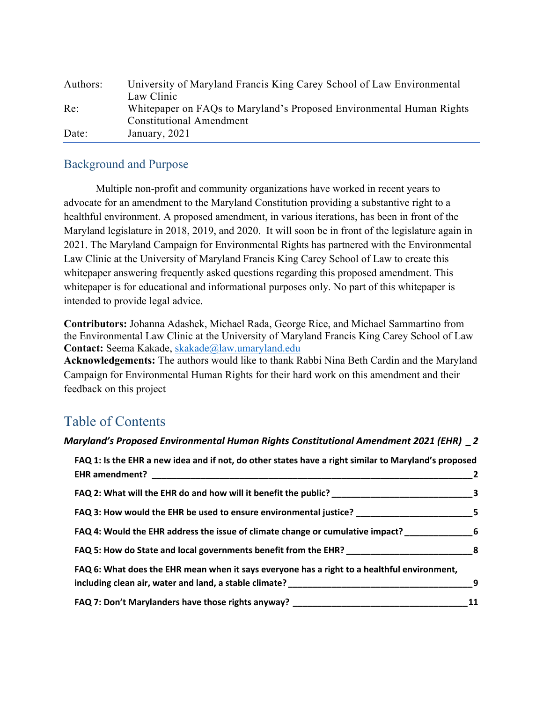| Authors: | University of Maryland Francis King Carey School of Law Environmental |
|----------|-----------------------------------------------------------------------|
|          | Law Clinic                                                            |
| Re:      | Whitepaper on FAQs to Maryland's Proposed Environmental Human Rights  |
|          | <b>Constitutional Amendment</b>                                       |
| Date:    | January, 2021                                                         |

## Background and Purpose

Multiple non-profit and community organizations have worked in recent years to advocate for an amendment to the Maryland Constitution providing a substantive right to a healthful environment. A proposed amendment, in various iterations, has been in front of the Maryland legislature in 2018, 2019, and 2020. It will soon be in front of the legislature again in 2021. The Maryland Campaign for Environmental Rights has partnered with the Environmental Law Clinic at the University of Maryland Francis King Carey School of Law to create this whitepaper answering frequently asked questions regarding this proposed amendment. This whitepaper is for educational and informational purposes only. No part of this whitepaper is intended to provide legal advice.

**Contributors:** Johanna Adashek, Michael Rada, George Rice, and Michael Sammartino from the Environmental Law Clinic at the University of Maryland Francis King Carey School of Law **Contact:** Seema Kakade, skakade@law.umaryland.edu

**Acknowledgements:** The authors would like to thank Rabbi Nina Beth Cardin and the Maryland Campaign for Environmental Human Rights for their hard work on this amendment and their feedback on this project

# Table of Contents

#### *Maryland's Proposed Environmental Human Rights Constitutional Amendment 2021 (EHR) \_2*

| FAQ 1: Is the EHR a new idea and if not, do other states have a right similar to Maryland's proposed                                                                                                                                                                                                                          |                         |
|-------------------------------------------------------------------------------------------------------------------------------------------------------------------------------------------------------------------------------------------------------------------------------------------------------------------------------|-------------------------|
|                                                                                                                                                                                                                                                                                                                               | $\overline{\mathbf{2}}$ |
|                                                                                                                                                                                                                                                                                                                               |                         |
|                                                                                                                                                                                                                                                                                                                               |                         |
| FAQ 4: Would the EHR address the issue of climate change or cumulative impact? 6                                                                                                                                                                                                                                              |                         |
|                                                                                                                                                                                                                                                                                                                               |                         |
| FAQ 6: What does the EHR mean when it says everyone has a right to a healthful environment,<br>including clean air, water and land, a stable climate? The contract of the contract of the contract of the control of the control of the control of the control of the control of the control of the control of the control of | $^{9}$                  |
| FAQ 7: Don't Marylanders have those rights anyway? ______________________________                                                                                                                                                                                                                                             | 11                      |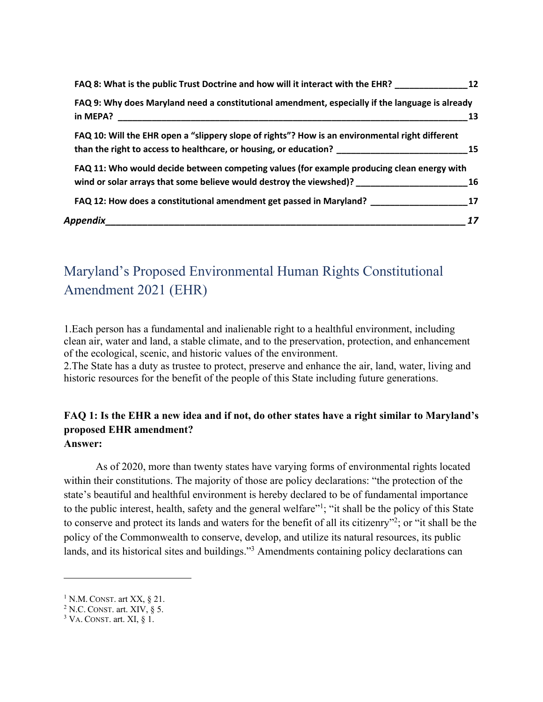| FAQ 8: What is the public Trust Doctrine and how will it interact with the EHR? 12                                                                                                         |      |
|--------------------------------------------------------------------------------------------------------------------------------------------------------------------------------------------|------|
| FAQ 9: Why does Maryland need a constitutional amendment, especially if the language is already<br>in MEPA?                                                                                | -13  |
| FAQ 10: Will the EHR open a "slippery slope of rights"? How is an environmental right different<br>than the right to access to healthcare, or housing, or education? _____________________ | - 15 |
| FAQ 11: Who would decide between competing values (for example producing clean energy with<br>wind or solar arrays that some believe would destroy the viewshed)? 16                       |      |
| FAQ 12: How does a constitutional amendment get passed in Maryland? ____________________17                                                                                                 |      |
| Appendix<br><u> 1980 - Johann Barbara, martxa alemaniar argumento de la contrada de la contrada de la contrada de la contrad</u>                                                           | 17   |

# Maryland's Proposed Environmental Human Rights Constitutional Amendment 2021 (EHR)

1.Each person has a fundamental and inalienable right to a healthful environment, including clean air, water and land, a stable climate, and to the preservation, protection, and enhancement of the ecological, scenic, and historic values of the environment.

2.The State has a duty as trustee to protect, preserve and enhance the air, land, water, living and historic resources for the benefit of the people of this State including future generations.

#### **FAQ 1: Is the EHR a new idea and if not, do other states have a right similar to Maryland's proposed EHR amendment? Answer:**

As of 2020, more than twenty states have varying forms of environmental rights located within their constitutions. The majority of those are policy declarations: "the protection of the state's beautiful and healthful environment is hereby declared to be of fundamental importance to the public interest, health, safety and the general welfare"<sup>1</sup>; "it shall be the policy of this State to conserve and protect its lands and waters for the benefit of all its citizenry"2; or "it shall be the policy of the Commonwealth to conserve, develop, and utilize its natural resources, its public lands, and its historical sites and buildings."3 Amendments containing policy declarations can

 $1$  N.M. CONST. art XX,  $\S$  21.

 $2$  N.C. CONST. art. XIV,  $\S$  5.

 $3$  VA. CONST. art. XI,  $\S$  1.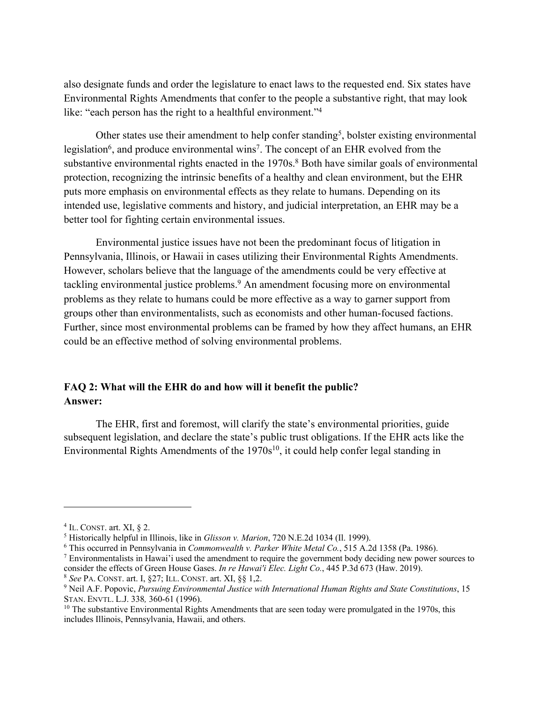also designate funds and order the legislature to enact laws to the requested end. Six states have Environmental Rights Amendments that confer to the people a substantive right, that may look like: "each person has the right to a healthful environment."<sup>4</sup>

Other states use their amendment to help confer standing<sup>5</sup>, bolster existing environmental legislation<sup>6</sup>, and produce environmental wins<sup>7</sup>. The concept of an EHR evolved from the substantive environmental rights enacted in the 1970s.<sup>8</sup> Both have similar goals of environmental protection, recognizing the intrinsic benefits of a healthy and clean environment, but the EHR puts more emphasis on environmental effects as they relate to humans. Depending on its intended use, legislative comments and history, and judicial interpretation, an EHR may be a better tool for fighting certain environmental issues.

Environmental justice issues have not been the predominant focus of litigation in Pennsylvania, Illinois, or Hawaii in cases utilizing their Environmental Rights Amendments. However, scholars believe that the language of the amendments could be very effective at tackling environmental justice problems.<sup>9</sup> An amendment focusing more on environmental problems as they relate to humans could be more effective as a way to garner support from groups other than environmentalists, such as economists and other human-focused factions. Further, since most environmental problems can be framed by how they affect humans, an EHR could be an effective method of solving environmental problems.

### **FAQ 2: What will the EHR do and how will it benefit the public? Answer:**

The EHR, first and foremost, will clarify the state's environmental priorities, guide subsequent legislation, and declare the state's public trust obligations. If the EHR acts like the Environmental Rights Amendments of the  $1970s^{10}$ , it could help confer legal standing in

 $4$  IL. CONST. art. XI,  $§$  2.

<sup>5</sup> Historically helpful in Illinois, like in *Glisson v. Marion*, 720 N.E.2d 1034 (Il. 1999).

<sup>6</sup> This occurred in Pennsylvania in *Commonwealth v. Parker White Metal Co.*, 515 A.2d 1358 (Pa. 1986).

<sup>7</sup> Environmentalists in Hawai'i used the amendment to require the government body deciding new power sources to consider the effects of Green House Gases. *In re Hawai'i Elec. Light Co.*, 445 P.3d 673 (Haw. 2019).

<sup>8</sup> *See* PA. CONST. art. I, §27; ILL. CONST. art. XI, §§ 1,2.

<sup>9</sup> Neil A.F. Popovic, *Pursuing Environmental Justice with International Human Rights and State Constitutions*, 15 STAN. ENVTL. L.J. 338*,* 360-61 (1996).

 $10$  The substantive Environmental Rights Amendments that are seen today were promulgated in the 1970s, this includes Illinois, Pennsylvania, Hawaii, and others.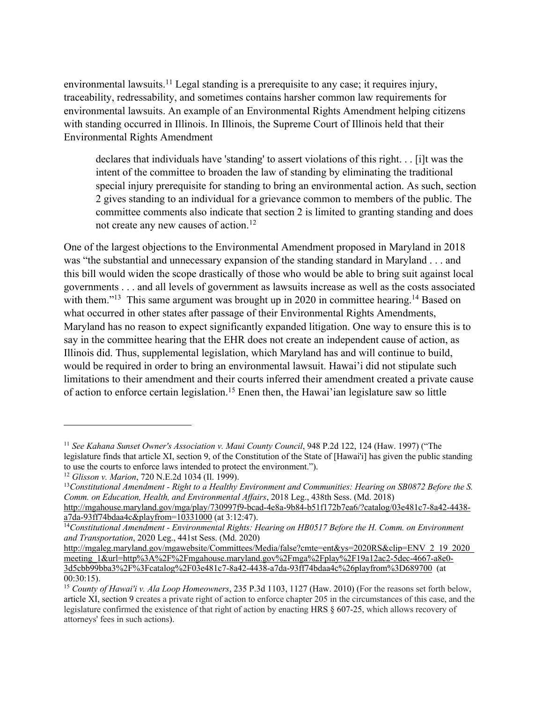environmental lawsuits.<sup>11</sup> Legal standing is a prerequisite to any case; it requires injury, traceability, redressability, and sometimes contains harsher common law requirements for environmental lawsuits. An example of an Environmental Rights Amendment helping citizens with standing occurred in Illinois. In Illinois, the Supreme Court of Illinois held that their Environmental Rights Amendment

declares that individuals have 'standing' to assert violations of this right. . . [i]t was the intent of the committee to broaden the law of standing by eliminating the traditional special injury prerequisite for standing to bring an environmental action. As such, section 2 gives standing to an individual for a grievance common to members of the public. The committee comments also indicate that section 2 is limited to granting standing and does not create any new causes of action.<sup>12</sup>

One of the largest objections to the Environmental Amendment proposed in Maryland in 2018 was "the substantial and unnecessary expansion of the standing standard in Maryland . . . and this bill would widen the scope drastically of those who would be able to bring suit against local governments . . . and all levels of government as lawsuits increase as well as the costs associated with them."<sup>13</sup> This same argument was brought up in 2020 in committee hearing.<sup>14</sup> Based on what occurred in other states after passage of their Environmental Rights Amendments, Maryland has no reason to expect significantly expanded litigation. One way to ensure this is to say in the committee hearing that the EHR does not create an independent cause of action, as Illinois did. Thus, supplemental legislation, which Maryland has and will continue to build, would be required in order to bring an environmental lawsuit. Hawai'i did not stipulate such limitations to their amendment and their courts inferred their amendment created a private cause of action to enforce certain legislation. <sup>15</sup> Enen then, the Hawai'ian legislature saw so little

<sup>&</sup>lt;sup>11</sup> See Kahana Sunset Owner's Association v. Maui County Council, 948 P.2d 122, 124 (Haw. 1997) ("The legislature finds that article XI, section 9, of the Constitution of the State of [Hawai'i] has given the public standing to use the courts to enforce laws intended to protect the environment.").

<sup>12</sup> *Glisson v. Marion*, 720 N.E.2d 1034 (Il. 1999).

<sup>13</sup>*Constitutional Amendment - Right to a Healthy Environment and Communities: Hearing on SB0872 Before the S. Comm. on Education, Health, and Environmental Affairs*, 2018 Leg., 438th Sess. (Md. 2018) http://mgahouse.maryland.gov/mga/play/730997f9-bcad-4e8a-9b84-b51f172b7ea6/?catalog/03e481c7-8a42-4438 a7da-93ff74bdaa4c&playfrom=10331000 (at 3:12:47).

<sup>14</sup>*Constitutional Amendment - Environmental Rights: Hearing on HB0517 Before the H. Comm. on Environment and Transportation*, 2020 Leg., 441st Sess. (Md. 2020)

http://mgaleg.maryland.gov/mgawebsite/Committees/Media/false?cmte=ent&ys=2020RS&clip=ENV\_2\_19\_2020 meeting\_1&url=http%3A%2F%2Fmgahouse.maryland.gov%2Fmga%2Fplay%2F19a12ac2-5dec-4667-a8e0-3d5cbb99bba3%2F%3Fcatalog%2F03e481c7-8a42-4438-a7da-93ff74bdaa4c%26playfrom%3D689700 (at 00:30:15).

<sup>15</sup> *County of Hawai'i v. Ala Loop Homeowners*, 235 P.3d 1103, 1127 (Haw. 2010) (For the reasons set forth below, article XI, section 9 creates a private right of action to enforce chapter 205 in the circumstances of this case, and the legislature confirmed the existence of that right of action by enacting HRS § 607-25, which allows recovery of attorneys' fees in such actions).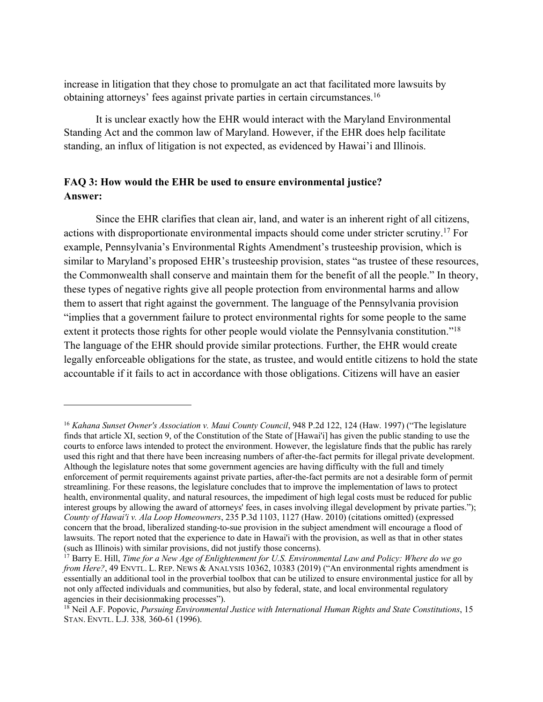increase in litigation that they chose to promulgate an act that facilitated more lawsuits by obtaining attorneys' fees against private parties in certain circumstances. 16

It is unclear exactly how the EHR would interact with the Maryland Environmental Standing Act and the common law of Maryland. However, if the EHR does help facilitate standing, an influx of litigation is not expected, as evidenced by Hawai'i and Illinois.

#### **FAQ 3: How would the EHR be used to ensure environmental justice? Answer:**

Since the EHR clarifies that clean air, land, and water is an inherent right of all citizens, actions with disproportionate environmental impacts should come under stricter scrutiny.17 For example, Pennsylvania's Environmental Rights Amendment's trusteeship provision, which is similar to Maryland's proposed EHR's trusteeship provision, states "as trustee of these resources, the Commonwealth shall conserve and maintain them for the benefit of all the people." In theory, these types of negative rights give all people protection from environmental harms and allow them to assert that right against the government. The language of the Pennsylvania provision "implies that a government failure to protect environmental rights for some people to the same extent it protects those rights for other people would violate the Pennsylvania constitution."<sup>18</sup> The language of the EHR should provide similar protections. Further, the EHR would create legally enforceable obligations for the state, as trustee, and would entitle citizens to hold the state accountable if it fails to act in accordance with those obligations. Citizens will have an easier

<sup>16</sup> *Kahana Sunset Owner's Association v. Maui County Council*, 948 P.2d 122, 124 (Haw. 1997) ("The legislature finds that article XI, section 9, of the Constitution of the State of [Hawai'i] has given the public standing to use the courts to enforce laws intended to protect the environment. However, the legislature finds that the public has rarely used this right and that there have been increasing numbers of after-the-fact permits for illegal private development. Although the legislature notes that some government agencies are having difficulty with the full and timely enforcement of permit requirements against private parties, after-the-fact permits are not a desirable form of permit streamlining. For these reasons, the legislature concludes that to improve the implementation of laws to protect health, environmental quality, and natural resources, the impediment of high legal costs must be reduced for public interest groups by allowing the award of attorneys' fees, in cases involving illegal development by private parties."); *County of Hawai'i v. Ala Loop Homeowners*, 235 P.3d 1103, 1127 (Haw. 2010) (citations omitted) (expressed concern that the broad, liberalized standing-to-sue provision in the subject amendment will encourage a flood of lawsuits. The report noted that the experience to date in Hawai'i with the provision, as well as that in other states (such as Illinois) with similar provisions, did not justify those concerns).

<sup>17</sup> Barry E. Hill, *Time for a New Age of Enlightenment for U.S. Environmental Law and Policy: Where do we go from Here?*, 49 ENVTL. L. REP. NEWS & ANALYSIS 10362, 10383 (2019) ("An environmental rights amendment is essentially an additional tool in the proverbial toolbox that can be utilized to ensure environmental justice for all by not only affected individuals and communities, but also by federal, state, and local environmental regulatory agencies in their decisionmaking processes").

<sup>18</sup> Neil A.F. Popovic, *Pursuing Environmental Justice with International Human Rights and State Constitutions*, 15 STAN. ENVTL. L.J. 338*,* 360-61 (1996).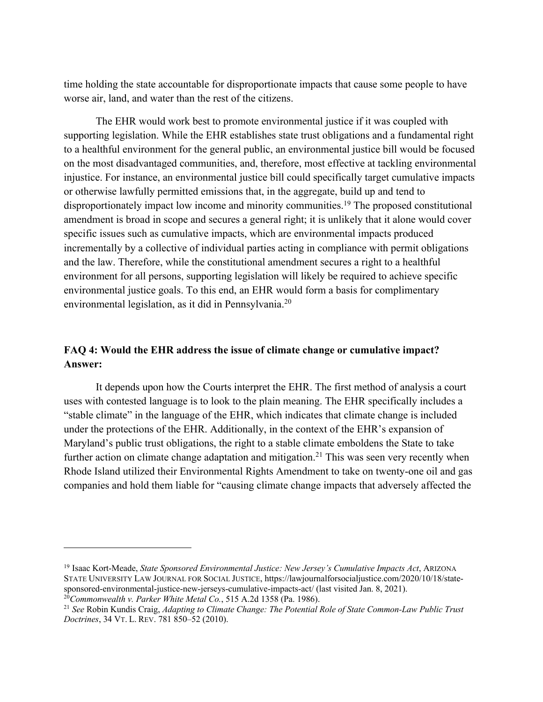time holding the state accountable for disproportionate impacts that cause some people to have worse air, land, and water than the rest of the citizens.

The EHR would work best to promote environmental justice if it was coupled with supporting legislation. While the EHR establishes state trust obligations and a fundamental right to a healthful environment for the general public, an environmental justice bill would be focused on the most disadvantaged communities, and, therefore, most effective at tackling environmental injustice. For instance, an environmental justice bill could specifically target cumulative impacts or otherwise lawfully permitted emissions that, in the aggregate, build up and tend to disproportionately impact low income and minority communities.<sup>19</sup> The proposed constitutional amendment is broad in scope and secures a general right; it is unlikely that it alone would cover specific issues such as cumulative impacts, which are environmental impacts produced incrementally by a collective of individual parties acting in compliance with permit obligations and the law. Therefore, while the constitutional amendment secures a right to a healthful environment for all persons, supporting legislation will likely be required to achieve specific environmental justice goals. To this end, an EHR would form a basis for complimentary environmental legislation, as it did in Pennsylvania.20

#### **FAQ 4: Would the EHR address the issue of climate change or cumulative impact? Answer:**

It depends upon how the Courts interpret the EHR. The first method of analysis a court uses with contested language is to look to the plain meaning. The EHR specifically includes a "stable climate" in the language of the EHR, which indicates that climate change is included under the protections of the EHR. Additionally, in the context of the EHR's expansion of Maryland's public trust obligations, the right to a stable climate emboldens the State to take further action on climate change adaptation and mitigation.<sup>21</sup> This was seen very recently when Rhode Island utilized their Environmental Rights Amendment to take on twenty-one oil and gas companies and hold them liable for "causing climate change impacts that adversely affected the

<sup>19</sup> Isaac Kort-Meade, *State Sponsored Environmental Justice: New Jersey's Cumulative Impacts Act*, ARIZONA STATE UNIVERSITY LAW JOURNAL FOR SOCIAL JUSTICE, https://lawjournalforsocialjustice.com/2020/10/18/statesponsored-environmental-justice-new-jerseys-cumulative-impacts-act/ (last visited Jan. 8, 2021).

<sup>20</sup>*Commonwealth v. Parker White Metal Co.*, 515 A.2d 1358 (Pa. 1986).

<sup>21</sup> *See* Robin Kundis Craig, *Adapting to Climate Change: The Potential Role of State Common-Law Public Trust Doctrines*, 34 VT. L. REV. 781 850–52 (2010).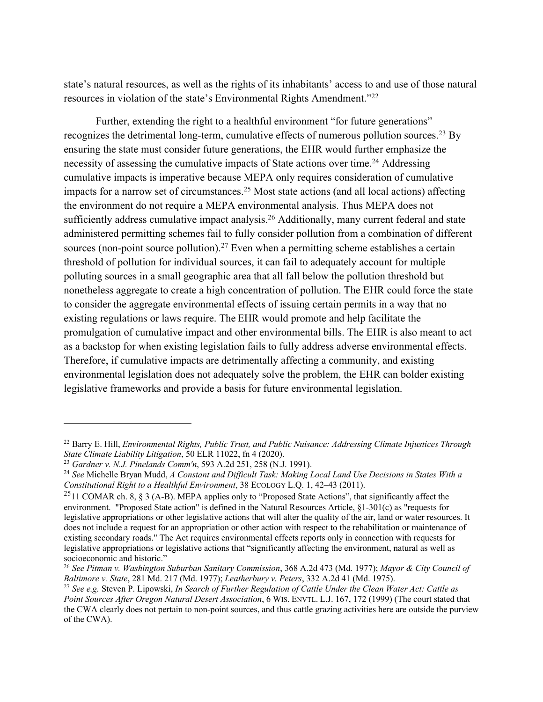state's natural resources, as well as the rights of its inhabitants' access to and use of those natural resources in violation of the state's Environmental Rights Amendment."22

Further, extending the right to a healthful environment "for future generations" recognizes the detrimental long-term, cumulative effects of numerous pollution sources.<sup>23</sup> By ensuring the state must consider future generations, the EHR would further emphasize the necessity of assessing the cumulative impacts of State actions over time.<sup>24</sup> Addressing cumulative impacts is imperative because MEPA only requires consideration of cumulative impacts for a narrow set of circumstances. <sup>25</sup> Most state actions (and all local actions) affecting the environment do not require a MEPA environmental analysis. Thus MEPA does not sufficiently address cumulative impact analysis.<sup>26</sup> Additionally, many current federal and state administered permitting schemes fail to fully consider pollution from a combination of different sources (non-point source pollution).<sup>27</sup> Even when a permitting scheme establishes a certain threshold of pollution for individual sources, it can fail to adequately account for multiple polluting sources in a small geographic area that all fall below the pollution threshold but nonetheless aggregate to create a high concentration of pollution. The EHR could force the state to consider the aggregate environmental effects of issuing certain permits in a way that no existing regulations or laws require. The EHR would promote and help facilitate the promulgation of cumulative impact and other environmental bills. The EHR is also meant to act as a backstop for when existing legislation fails to fully address adverse environmental effects. Therefore, if cumulative impacts are detrimentally affecting a community, and existing environmental legislation does not adequately solve the problem, the EHR can bolder existing legislative frameworks and provide a basis for future environmental legislation.

<sup>22</sup> Barry E. Hill, *Environmental Rights, Public Trust, and Public Nuisance: Addressing Climate Injustices Through State Climate Liability Litigation*, 50 ELR 11022, fn 4 (2020).

<sup>23</sup> *Gardner v. N.J. Pinelands Comm'n*, 593 A.2d 251, 258 (N.J. 1991).

<sup>24</sup> *See* Michelle Bryan Mudd, *A Constant and Difficult Task: Making Local Land Use Decisions in States With a Constitutional Right to a Healthful Environment*, 38 ECOLOGY L.Q. 1, 42–43 (2011).

<sup>&</sup>lt;sup>25</sup>11 COMAR ch. 8, § 3 (A-B). MEPA applies only to "Proposed State Actions", that significantly affect the environment. "Proposed State action" is defined in the Natural Resources Article, §1-301(c) as "requests for legislative appropriations or other legislative actions that will alter the quality of the air, land or water resources. It does not include a request for an appropriation or other action with respect to the rehabilitation or maintenance of existing secondary roads." The Act requires environmental effects reports only in connection with requests for legislative appropriations or legislative actions that "significantly affecting the environment, natural as well as socioeconomic and historic."

<sup>26</sup> *See Pitman v. Washington Suburban Sanitary Commission*, 368 A.2d 473 (Md. 1977); *Mayor & City Council of Baltimore v. State*, 281 Md. 217 (Md. 1977); *Leatherbury v. Peters*, 332 A.2d 41 (Md. 1975).

<sup>27</sup> *See e.g.* Steven P. Lipowski, *In Search of Further Regulation of Cattle Under the Clean Water Act: Cattle as Point Sources After Oregon Natural Desert Association*, 6 WIS. ENVTL. L.J. 167, 172 (1999) (The court stated that the CWA clearly does not pertain to non-point sources, and thus cattle grazing activities here are outside the purview of the CWA).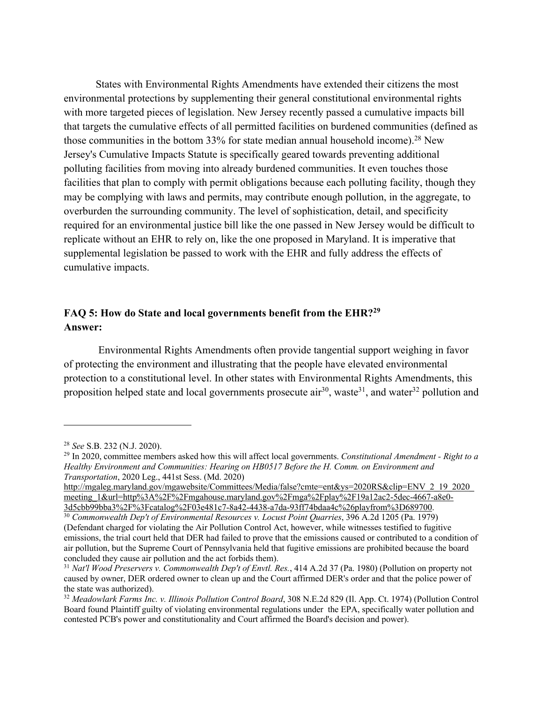States with Environmental Rights Amendments have extended their citizens the most environmental protections by supplementing their general constitutional environmental rights with more targeted pieces of legislation. New Jersey recently passed a cumulative impacts bill that targets the cumulative effects of all permitted facilities on burdened communities (defined as those communities in the bottom  $33\%$  for state median annual household income).<sup>28</sup> New Jersey's Cumulative Impacts Statute is specifically geared towards preventing additional polluting facilities from moving into already burdened communities. It even touches those facilities that plan to comply with permit obligations because each polluting facility, though they may be complying with laws and permits, may contribute enough pollution, in the aggregate, to overburden the surrounding community. The level of sophistication, detail, and specificity required for an environmental justice bill like the one passed in New Jersey would be difficult to replicate without an EHR to rely on, like the one proposed in Maryland. It is imperative that supplemental legislation be passed to work with the EHR and fully address the effects of cumulative impacts.

#### **FAQ 5: How do State and local governments benefit from the EHR?29 Answer:**

Environmental Rights Amendments often provide tangential support weighing in favor of protecting the environment and illustrating that the people have elevated environmental protection to a constitutional level. In other states with Environmental Rights Amendments, this proposition helped state and local governments prosecute  $air^{30}$ , waste<sup>31</sup>, and water<sup>32</sup> pollution and

<sup>28</sup> *See* S.B. 232 (N.J. 2020).

<sup>29</sup> In 2020, committee members asked how this will affect local governments. *Constitutional Amendment - Right to a Healthy Environment and Communities: Hearing on HB0517 Before the H. Comm. on Environment and Transportation*, 2020 Leg., 441st Sess. (Md. 2020)

http://mgaleg.maryland.gov/mgawebsite/Committees/Media/false?cmte=ent&ys=2020RS&clip=ENV\_2\_19\_2020\_ meeting\_1&url=http%3A%2F%2Fmgahouse.maryland.gov%2Fmga%2Fplay%2F19a12ac2-5dec-4667-a8e0- 3d5cbb99bba3%2F%3Fcatalog%2F03e481c7-8a42-4438-a7da-93ff74bdaa4c%26playfrom%3D689700.

<sup>30</sup> *Commonwealth Dep't of Environmental Resources v. Locust Point Quarries*, 396 A.2d 1205 (Pa. 1979) (Defendant charged for violating the Air Pollution Control Act, however, while witnesses testified to fugitive emissions, the trial court held that DER had failed to prove that the emissions caused or contributed to a condition of air pollution, but the Supreme Court of Pennsylvania held that fugitive emissions are prohibited because the board concluded they cause air pollution and the act forbids them).

<sup>31</sup> *Nat'l Wood Preservers v. Commonwealth Dep't of Envtl. Res.*, 414 A.2d 37 (Pa. 1980) (Pollution on property not caused by owner, DER ordered owner to clean up and the Court affirmed DER's order and that the police power of the state was authorized).

<sup>32</sup> *Meadowlark Farms Inc. v. Illinois Pollution Control Board*, 308 N.E.2d 829 (Il. App. Ct. 1974) (Pollution Control Board found Plaintiff guilty of violating environmental regulations under the EPA, specifically water pollution and contested PCB's power and constitutionality and Court affirmed the Board's decision and power).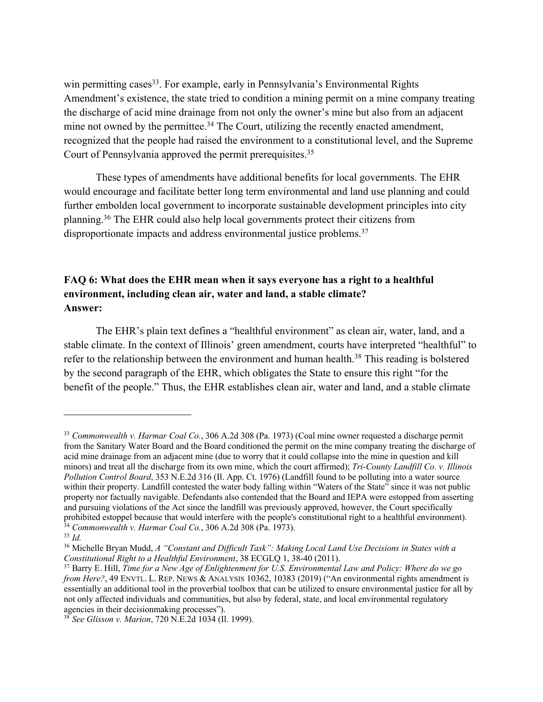win permitting cases<sup>33</sup>. For example, early in Pennsylvania's Environmental Rights Amendment's existence, the state tried to condition a mining permit on a mine company treating the discharge of acid mine drainage from not only the owner's mine but also from an adjacent mine not owned by the permittee.<sup>34</sup> The Court, utilizing the recently enacted amendment, recognized that the people had raised the environment to a constitutional level, and the Supreme Court of Pennsylvania approved the permit prerequisites.<sup>35</sup>

These types of amendments have additional benefits for local governments. The EHR would encourage and facilitate better long term environmental and land use planning and could further embolden local government to incorporate sustainable development principles into city planning.36 The EHR could also help local governments protect their citizens from disproportionate impacts and address environmental justice problems.<sup>37</sup>

#### **FAQ 6: What does the EHR mean when it says everyone has a right to a healthful environment, including clean air, water and land, a stable climate? Answer:**

The EHR's plain text defines a "healthful environment" as clean air, water, land, and a stable climate. In the context of Illinois' green amendment, courts have interpreted "healthful" to refer to the relationship between the environment and human health.<sup>38</sup> This reading is bolstered by the second paragraph of the EHR, which obligates the State to ensure this right "for the benefit of the people." Thus, the EHR establishes clean air, water and land, and a stable climate

<sup>33</sup> *Commonwealth v. Harmar Coal Co.*, 306 A.2d 308 (Pa. 1973) (Coal mine owner requested a discharge permit from the Sanitary Water Board and the Board conditioned the permit on the mine company treating the discharge of acid mine drainage from an adjacent mine (due to worry that it could collapse into the mine in question and kill minors) and treat all the discharge from its own mine, which the court affirmed); *Tri-County Landfill Co. v. Illinois Pollution Control Board*, 353 N.E.2d 316 (Il. App. Ct. 1976) (Landfill found to be polluting into a water source within their property. Landfill contested the water body falling within "Waters of the State" since it was not public property nor factually navigable. Defendants also contended that the Board and IEPA were estopped from asserting and pursuing violations of the Act since the landfill was previously approved, however, the Court specifically prohibited estoppel because that would interfere with the people's constitutional right to a healthful environment). <sup>34</sup> *Commonwealth v. Harmar Coal Co.*, 306 A.2d 308 (Pa. 1973).

<sup>35</sup> *Id.*

<sup>36</sup> Michelle Bryan Mudd, *A "Constant and Difficult Task": Making Local Land Use Decisions in States with a Constitutional Right to a Healthful Environment*, 38 ECGLQ 1, 38-40 (2011).

<sup>37</sup> Barry E. Hill, *Time for a New Age of Enlightenment for U.S. Environmental Law and Policy: Where do we go from Here?*, 49 ENVTL. L. REP. NEWS & ANALYSIS 10362, 10383 (2019) ("An environmental rights amendment is essentially an additional tool in the proverbial toolbox that can be utilized to ensure environmental justice for all by not only affected individuals and communities, but also by federal, state, and local environmental regulatory agencies in their decisionmaking processes").

<sup>38</sup> *See Glisson v. Marion*, 720 N.E.2d 1034 (Il. 1999).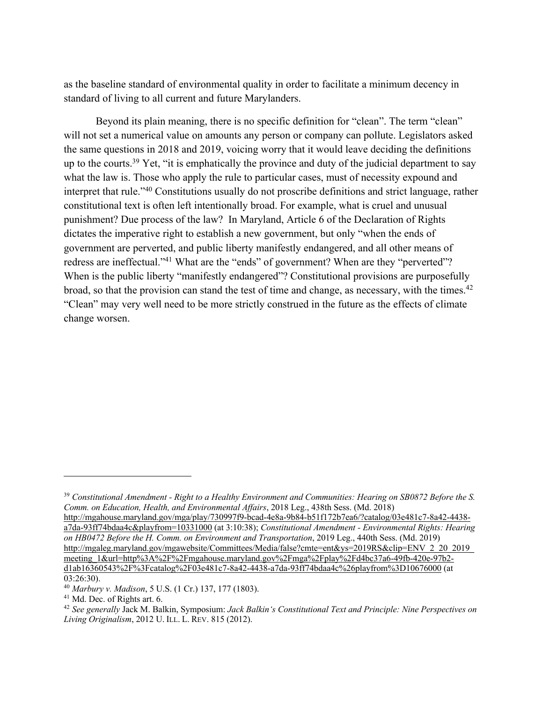as the baseline standard of environmental quality in order to facilitate a minimum decency in standard of living to all current and future Marylanders.

Beyond its plain meaning, there is no specific definition for "clean". The term "clean" will not set a numerical value on amounts any person or company can pollute. Legislators asked the same questions in 2018 and 2019, voicing worry that it would leave deciding the definitions up to the courts.<sup>39</sup> Yet, "it is emphatically the province and duty of the judicial department to say what the law is. Those who apply the rule to particular cases, must of necessity expound and interpret that rule."40 Constitutions usually do not proscribe definitions and strict language, rather constitutional text is often left intentionally broad. For example, what is cruel and unusual punishment? Due process of the law? In Maryland, Article 6 of the Declaration of Rights dictates the imperative right to establish a new government, but only "when the ends of government are perverted, and public liberty manifestly endangered, and all other means of redress are ineffectual."<sup>41</sup> What are the "ends" of government? When are they "perverted"? When is the public liberty "manifestly endangered"? Constitutional provisions are purposefully broad, so that the provision can stand the test of time and change, as necessary, with the times.<sup>42</sup> "Clean" may very well need to be more strictly construed in the future as the effects of climate change worsen.

http://mgahouse.maryland.gov/mga/play/730997f9-bcad-4e8a-9b84-b51f172b7ea6/?catalog/03e481c7-8a42-4438 a7da-93ff74bdaa4c&playfrom=10331000 (at 3:10:38); *Constitutional Amendment - Environmental Rights: Hearing on HB0472 Before the H. Comm. on Environment and Transportation*, 2019 Leg., 440th Sess. (Md. 2019) http://mgaleg.maryland.gov/mgawebsite/Committees/Media/false?cmte=ent&ys=2019RS&clip=ENV\_2\_20\_2019\_ meeting\_1&url=http%3A%2F%2Fmgahouse.maryland.gov%2Fmga%2Fplay%2Fd4bc37a6-49fb-420e-97b2d1ab16360543%2F%3Fcatalog%2F03e481c7-8a42-4438-a7da-93ff74bdaa4c%26playfrom%3D10676000 (at 03:26:30).

<sup>39</sup> *Constitutional Amendment - Right to a Healthy Environment and Communities: Hearing on SB0872 Before the S. Comm. on Education, Health, and Environmental Affairs*, 2018 Leg., 438th Sess. (Md. 2018)

<sup>40</sup> *Marbury v. Madison*, 5 U.S. (1 Cr.) 137, 177 (1803).

<sup>41</sup> Md. Dec. of Rights art. 6.

<sup>42</sup> *See generally* Jack M. Balkin, Symposium: *Jack Balkin's Constitutional Text and Principle: Nine Perspectives on Living Originalism*, 2012 U. ILL. L. REV. 815 (2012).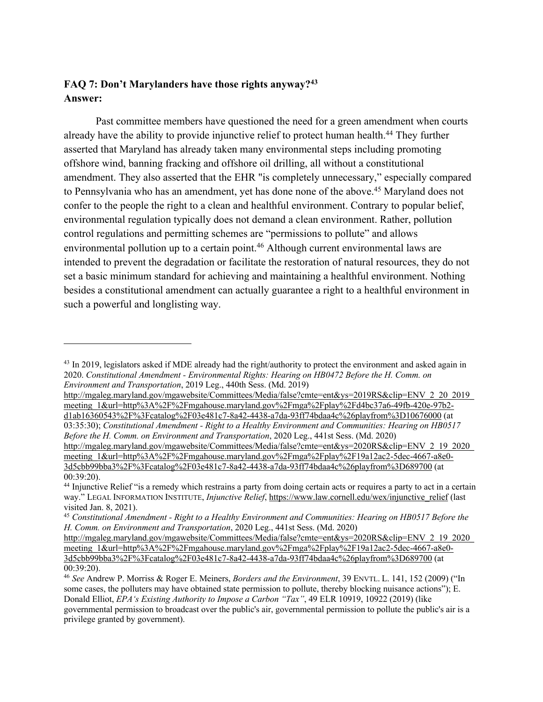### **FAQ 7: Don't Marylanders have those rights anyway?43 Answer:**

Past committee members have questioned the need for a green amendment when courts already have the ability to provide injunctive relief to protect human health. <sup>44</sup> They further asserted that Maryland has already taken many environmental steps including promoting offshore wind, banning fracking and offshore oil drilling, all without a constitutional amendment. They also asserted that the EHR "is completely unnecessary," especially compared to Pennsylvania who has an amendment, yet has done none of the above. <sup>45</sup> Maryland does not confer to the people the right to a clean and healthful environment. Contrary to popular belief, environmental regulation typically does not demand a clean environment. Rather, pollution control regulations and permitting schemes are "permissions to pollute" and allows environmental pollution up to a certain point.<sup>46</sup> Although current environmental laws are intended to prevent the degradation or facilitate the restoration of natural resources, they do not set a basic minimum standard for achieving and maintaining a healthful environment. Nothing besides a constitutional amendment can actually guarantee a right to a healthful environment in such a powerful and longlisting way.

http://mgaleg.maryland.gov/mgawebsite/Committees/Media/false?cmte=ent&ys=2019RS&clip=ENV\_2\_20\_2019\_ meeting\_1&url=http%3A%2F%2Fmgahouse.maryland.gov%2Fmga%2Fplay%2Fd4bc37a6-49fb-420e-97b2 d1ab16360543%2F%3Fcatalog%2F03e481c7-8a42-4438-a7da-93ff74bdaa4c%26playfrom%3D10676000 (at 03:35:30); *Constitutional Amendment - Right to a Healthy Environment and Communities: Hearing on HB0517 Before the H. Comm. on Environment and Transportation*, 2020 Leg., 441st Sess. (Md. 2020)

http://mgaleg.maryland.gov/mgawebsite/Committees/Media/false?cmte=ent&ys=2020RS&clip=ENV\_2\_19\_2020\_ meeting\_1&url=http%3A%2F%2Fmgahouse.maryland.gov%2Fmga%2Fplay%2F19a12ac2-5dec-4667-a8e0- 3d5cbb99bba3%2F%3Fcatalog%2F03e481c7-8a42-4438-a7da-93ff74bdaa4c%26playfrom%3D689700 (at 00:39:20).

<sup>&</sup>lt;sup>43</sup> In 2019, legislators asked if MDE already had the right/authority to protect the environment and asked again in 2020. *Constitutional Amendment - Environmental Rights: Hearing on HB0472 Before the H. Comm. on Environment and Transportation*, 2019 Leg., 440th Sess. (Md. 2019)

<sup>44</sup> Injunctive Relief "is a remedy which restrains a party from doing certain acts or requires a party to act in a certain way." LEGAL INFORMATION INSTITUTE, *Injunctive Relief*, https://www.law.cornell.edu/wex/injunctive\_relief (last visited Jan. 8, 2021).

<sup>45</sup> *Constitutional Amendment - Right to a Healthy Environment and Communities: Hearing on HB0517 Before the H. Comm. on Environment and Transportation*, 2020 Leg., 441st Sess. (Md. 2020)

http://mgaleg.maryland.gov/mgawebsite/Committees/Media/false?cmte=ent&ys=2020RS&clip=ENV\_2\_19\_2020\_ meeting\_1&url=http%3A%2F%2Fmgahouse.maryland.gov%2Fmga%2Fplay%2F19a12ac2-5dec-4667-a8e0- 3d5cbb99bba3%2F%3Fcatalog%2F03e481c7-8a42-4438-a7da-93ff74bdaa4c%26playfrom%3D689700 (at 00:39:20).

<sup>46</sup> *See* Andrew P. Morriss & Roger E. Meiners, *Borders and the Environment*, 39 ENVTL. L. 141, 152 (2009) ("In some cases, the polluters may have obtained state permission to pollute, thereby blocking nuisance actions"); E. Donald Elliot, *EPA's Existing Authority to Impose a Carbon "Tax"*, 49 ELR 10919, 10922 (2019) (like governmental permission to broadcast over the public's air, governmental permission to pollute the public's air is a privilege granted by government).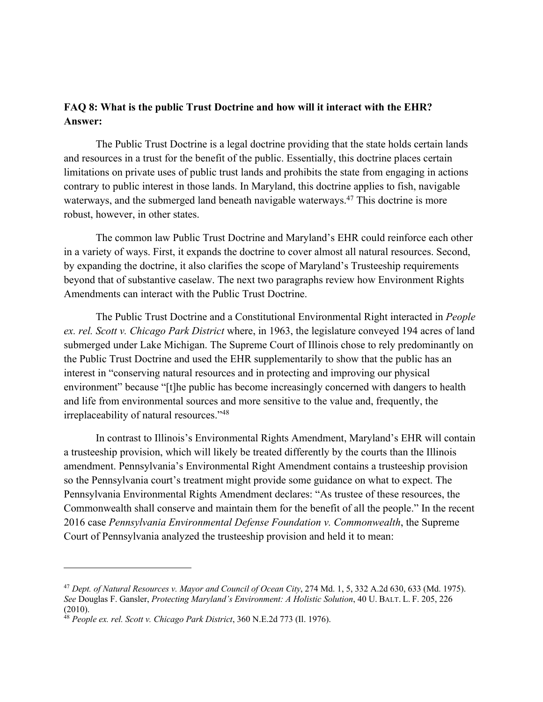#### **FAQ 8: What is the public Trust Doctrine and how will it interact with the EHR? Answer:**

The Public Trust Doctrine is a legal doctrine providing that the state holds certain lands and resources in a trust for the benefit of the public. Essentially, this doctrine places certain limitations on private uses of public trust lands and prohibits the state from engaging in actions contrary to public interest in those lands. In Maryland, this doctrine applies to fish, navigable waterways, and the submerged land beneath navigable waterways.<sup>47</sup> This doctrine is more robust, however, in other states.

The common law Public Trust Doctrine and Maryland's EHR could reinforce each other in a variety of ways. First, it expands the doctrine to cover almost all natural resources. Second, by expanding the doctrine, it also clarifies the scope of Maryland's Trusteeship requirements beyond that of substantive caselaw. The next two paragraphs review how Environment Rights Amendments can interact with the Public Trust Doctrine.

The Public Trust Doctrine and a Constitutional Environmental Right interacted in *People ex. rel. Scott v. Chicago Park District* where, in 1963, the legislature conveyed 194 acres of land submerged under Lake Michigan. The Supreme Court of Illinois chose to rely predominantly on the Public Trust Doctrine and used the EHR supplementarily to show that the public has an interest in "conserving natural resources and in protecting and improving our physical environment" because "[t]he public has become increasingly concerned with dangers to health and life from environmental sources and more sensitive to the value and, frequently, the irreplaceability of natural resources."48

In contrast to Illinois's Environmental Rights Amendment, Maryland's EHR will contain a trusteeship provision, which will likely be treated differently by the courts than the Illinois amendment. Pennsylvania's Environmental Right Amendment contains a trusteeship provision so the Pennsylvania court's treatment might provide some guidance on what to expect. The Pennsylvania Environmental Rights Amendment declares: "As trustee of these resources, the Commonwealth shall conserve and maintain them for the benefit of all the people." In the recent 2016 case *Pennsylvania Environmental Defense Foundation v. Commonwealth*, the Supreme Court of Pennsylvania analyzed the trusteeship provision and held it to mean:

<sup>47</sup> *Dept. of Natural Resources v. Mayor and Council of Ocean City*, 274 Md. 1, 5, 332 A.2d 630, 633 (Md. 1975). *See* Douglas F. Gansler, *Protecting Maryland's Environment: A Holistic Solution*, 40 U. BALT. L. F. 205, 226 (2010).

<sup>48</sup> *People ex. rel. Scott v. Chicago Park District*, 360 N.E.2d 773 (Il. 1976).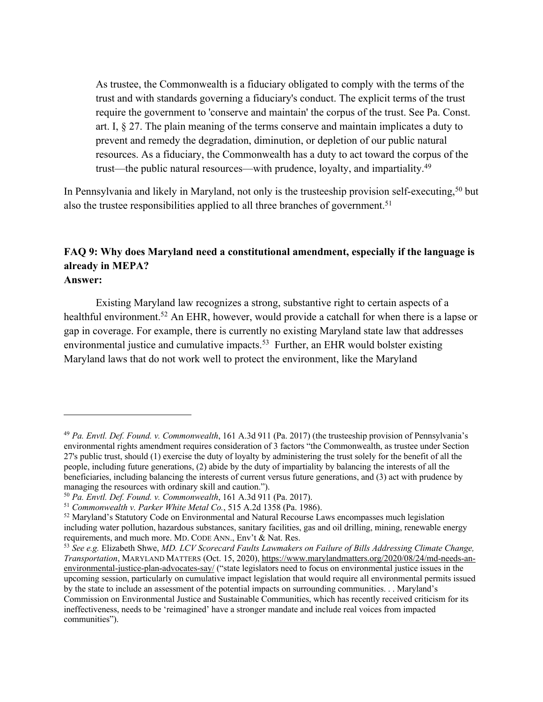As trustee, the Commonwealth is a fiduciary obligated to comply with the terms of the trust and with standards governing a fiduciary's conduct. The explicit terms of the trust require the government to 'conserve and maintain' the corpus of the trust. See Pa. Const. art. I, § 27. The plain meaning of the terms conserve and maintain implicates a duty to prevent and remedy the degradation, diminution, or depletion of our public natural resources. As a fiduciary, the Commonwealth has a duty to act toward the corpus of the trust—the public natural resources—with prudence, loyalty, and impartiality.<sup>49</sup>

In Pennsylvania and likely in Maryland, not only is the trusteeship provision self-executing,<sup>50</sup> but also the trustee responsibilities applied to all three branches of government.<sup>51</sup>

#### **FAQ 9: Why does Maryland need a constitutional amendment, especially if the language is already in MEPA? Answer:**

Existing Maryland law recognizes a strong, substantive right to certain aspects of a healthful environment.<sup>52</sup> An EHR, however, would provide a catchall for when there is a lapse or gap in coverage. For example, there is currently no existing Maryland state law that addresses environmental justice and cumulative impacts.<sup>53</sup> Further, an EHR would bolster existing Maryland laws that do not work well to protect the environment, like the Maryland

<sup>49</sup> *Pa. Envtl. Def. Found. v. Commonwealth*, 161 A.3d 911 (Pa. 2017) (the trusteeship provision of Pennsylvania's environmental rights amendment requires consideration of 3 factors "the Commonwealth, as trustee under Section 27's public trust, should (1) exercise the duty of loyalty by administering the trust solely for the benefit of all the people, including future generations, (2) abide by the duty of impartiality by balancing the interests of all the beneficiaries, including balancing the interests of current versus future generations, and (3) act with prudence by managing the resources with ordinary skill and caution.").

<sup>50</sup> *Pa. Envtl. Def. Found. v. Commonwealth*, 161 A.3d 911 (Pa. 2017).

<sup>51</sup> *Commonwealth v. Parker White Metal Co.*, 515 A.2d 1358 (Pa. 1986).

<sup>52</sup> Maryland's Statutory Code on Environmental and Natural Recourse Laws encompasses much legislation including water pollution, hazardous substances, sanitary facilities, gas and oil drilling, mining, renewable energy requirements, and much more. MD. CODE ANN., Env't & Nat. Res.

<sup>53</sup> *See e.g.* Elizabeth Shwe, *MD. LCV Scorecard Faults Lawmakers on Failure of Bills Addressing Climate Change, Transportation*, MARYLAND MATTERS (Oct. 15, 2020), https://www.marylandmatters.org/2020/08/24/md-needs-anenvironmental-justice-plan-advocates-say/ ("state legislators need to focus on environmental justice issues in the upcoming session, particularly on cumulative impact legislation that would require all environmental permits issued by the state to include an assessment of the potential impacts on surrounding communities. . . Maryland's Commission on Environmental Justice and Sustainable Communities, which has recently received criticism for its ineffectiveness, needs to be 'reimagined' have a stronger mandate and include real voices from impacted communities").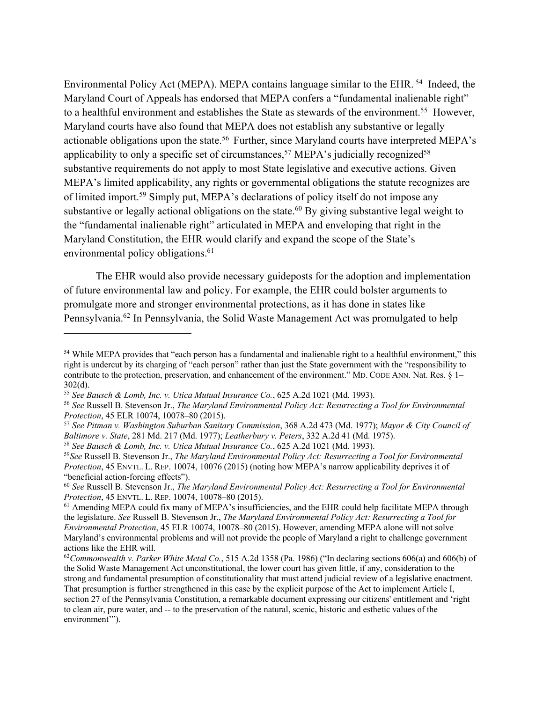Environmental Policy Act (MEPA). MEPA contains language similar to the EHR. 54 Indeed, the Maryland Court of Appeals has endorsed that MEPA confers a "fundamental inalienable right" to a healthful environment and establishes the State as stewards of the environment.<sup>55</sup> However, Maryland courts have also found that MEPA does not establish any substantive or legally actionable obligations upon the state.<sup>56</sup> Further, since Maryland courts have interpreted MEPA's applicability to only a specific set of circumstances,<sup>57</sup> MEPA's judicially recognized<sup>58</sup> substantive requirements do not apply to most State legislative and executive actions. Given MEPA's limited applicability, any rights or governmental obligations the statute recognizes are of limited import.59 Simply put, MEPA's declarations of policy itself do not impose any substantive or legally actional obligations on the state.<sup>60</sup> By giving substantive legal weight to the "fundamental inalienable right" articulated in MEPA and enveloping that right in the Maryland Constitution, the EHR would clarify and expand the scope of the State's environmental policy obligations.<sup>61</sup>

The EHR would also provide necessary guideposts for the adoption and implementation of future environmental law and policy. For example, the EHR could bolster arguments to promulgate more and stronger environmental protections, as it has done in states like Pennsylvania.62 In Pennsylvania, the Solid Waste Management Act was promulgated to help

<sup>54</sup> While MEPA provides that "each person has a fundamental and inalienable right to a healthful environment," this right is undercut by its charging of "each person" rather than just the State government with the "responsibility to contribute to the protection, preservation, and enhancement of the environment." MD. CODE ANN. Nat. Res. § 1– 302(d).

<sup>55</sup> *See Bausch & Lomb, Inc. v. Utica Mutual Insurance Co.*, 625 A.2d 1021 (Md. 1993).

<sup>56</sup> *See* Russell B. Stevenson Jr., *The Maryland Environmental Policy Act: Resurrecting a Tool for Environmental Protection*, 45 ELR 10074, 10078–80 (2015).

<sup>57</sup> *See Pitman v. Washington Suburban Sanitary Commission*, 368 A.2d 473 (Md. 1977); *Mayor & City Council of Baltimore v. State*, 281 Md. 217 (Md. 1977); *Leatherbury v. Peters*, 332 A.2d 41 (Md. 1975).

<sup>58</sup> *See Bausch & Lomb, Inc. v. Utica Mutual Insurance Co.*, 625 A.2d 1021 (Md. 1993).

<sup>59</sup>*See* Russell B. Stevenson Jr., *The Maryland Environmental Policy Act: Resurrecting a Tool for Environmental Protection*, 45 ENVTL. L. REP. 10074, 10076 (2015) (noting how MEPA's narrow applicability deprives it of "beneficial action-forcing effects").

<sup>60</sup> *See* Russell B. Stevenson Jr., *The Maryland Environmental Policy Act: Resurrecting a Tool for Environmental Protection*, 45 ENVTL. L. REP. 10074, 10078–80 (2015).

<sup>&</sup>lt;sup>61</sup> Amending MEPA could fix many of MEPA's insufficiencies, and the EHR could help facilitate MEPA through the legislature. *See* Russell B. Stevenson Jr., *The Maryland Environmental Policy Act: Resurrecting a Tool for Environmental Protection*, 45 ELR 10074, 10078–80 (2015). However, amending MEPA alone will not solve Maryland's environmental problems and will not provide the people of Maryland a right to challenge government actions like the EHR will.

<sup>62</sup>*Commonwealth v. Parker White Metal Co.*, 515 A.2d 1358 (Pa. 1986) ("In declaring sections 606(a) and 606(b) of the Solid Waste Management Act unconstitutional, the lower court has given little, if any, consideration to the strong and fundamental presumption of constitutionality that must attend judicial review of a legislative enactment. That presumption is further strengthened in this case by the explicit purpose of the Act to implement Article I, section 27 of the Pennsylvania Constitution, a remarkable document expressing our citizens' entitlement and 'right to clean air, pure water, and -- to the preservation of the natural, scenic, historic and esthetic values of the environment'").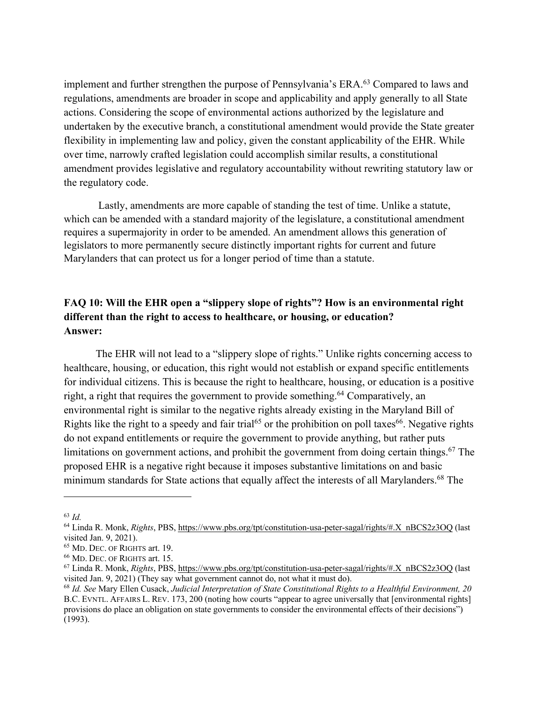implement and further strengthen the purpose of Pennsylvania's ERA.<sup>63</sup> Compared to laws and regulations, amendments are broader in scope and applicability and apply generally to all State actions. Considering the scope of environmental actions authorized by the legislature and undertaken by the executive branch, a constitutional amendment would provide the State greater flexibility in implementing law and policy, given the constant applicability of the EHR. While over time, narrowly crafted legislation could accomplish similar results, a constitutional amendment provides legislative and regulatory accountability without rewriting statutory law or the regulatory code.

Lastly, amendments are more capable of standing the test of time. Unlike a statute, which can be amended with a standard majority of the legislature, a constitutional amendment requires a supermajority in order to be amended. An amendment allows this generation of legislators to more permanently secure distinctly important rights for current and future Marylanders that can protect us for a longer period of time than a statute.

## **FAQ 10: Will the EHR open a "slippery slope of rights"? How is an environmental right different than the right to access to healthcare, or housing, or education? Answer:**

The EHR will not lead to a "slippery slope of rights." Unlike rights concerning access to healthcare, housing, or education, this right would not establish or expand specific entitlements for individual citizens. This is because the right to healthcare, housing, or education is a positive right, a right that requires the government to provide something.<sup>64</sup> Comparatively, an environmental right is similar to the negative rights already existing in the Maryland Bill of Rights like the right to a speedy and fair trial<sup>65</sup> or the prohibition on poll taxes<sup>66</sup>. Negative rights do not expand entitlements or require the government to provide anything, but rather puts limitations on government actions, and prohibit the government from doing certain things.<sup>67</sup> The proposed EHR is a negative right because it imposes substantive limitations on and basic minimum standards for State actions that equally affect the interests of all Marylanders.<sup>68</sup> The

<sup>63</sup> *Id.*

<sup>&</sup>lt;sup>64</sup> Linda R. Monk, *Rights*, PBS, https://www.pbs.org/tpt/constitution-usa-peter-sagal/rights/#.X\_nBCS2z3OQ (last visited Jan. 9, 2021).

<sup>65</sup> MD. DEC. OF RIGHTS art. 19.

<sup>66</sup> MD. DEC. OF RIGHTS art. 15.

<sup>67</sup> Linda R. Monk, *Rights*, PBS, https://www.pbs.org/tpt/constitution-usa-peter-sagal/rights/#.X\_nBCS2z3OQ (last visited Jan. 9, 2021) (They say what government cannot do, not what it must do).

<sup>68</sup> *Id. See* Mary Ellen Cusack, *Judicial Interpretation of State Constitutional Rights to a Healthful Environment, 20* B.C. EVNTL. AFFAIRS L. REV. 173, 200 (noting how courts "appear to agree universally that [environmental rights] provisions do place an obligation on state governments to consider the environmental effects of their decisions") (1993).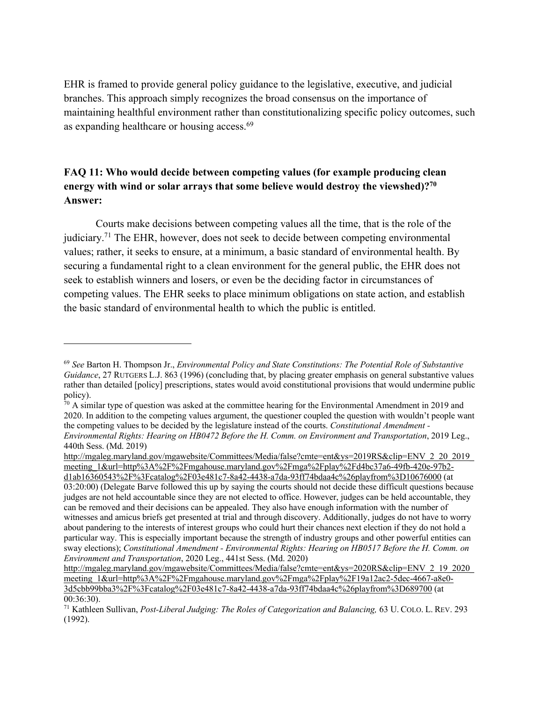EHR is framed to provide general policy guidance to the legislative, executive, and judicial branches. This approach simply recognizes the broad consensus on the importance of maintaining healthful environment rather than constitutionalizing specific policy outcomes, such as expanding healthcare or housing access.<sup>69</sup>

### **FAQ 11: Who would decide between competing values (for example producing clean energy with wind or solar arrays that some believe would destroy the viewshed)?70 Answer:**

Courts make decisions between competing values all the time, that is the role of the judiciary.71 The EHR, however, does not seek to decide between competing environmental values; rather, it seeks to ensure, at a minimum, a basic standard of environmental health. By securing a fundamental right to a clean environment for the general public, the EHR does not seek to establish winners and losers, or even be the deciding factor in circumstances of competing values. The EHR seeks to place minimum obligations on state action, and establish the basic standard of environmental health to which the public is entitled.

http://mgaleg.maryland.gov/mgawebsite/Committees/Media/false?cmte=ent&ys=2019RS&clip=ENV\_2\_20\_2019\_ meeting\_1&url=http%3A%2F%2Fmgahouse.maryland.gov%2Fmga%2Fplay%2Fd4bc37a6-49fb-420e-97b2d1ab16360543%2F%3Fcatalog%2F03e481c7-8a42-4438-a7da-93ff74bdaa4c%26playfrom%3D10676000 (at 03:20:00) (Delegate Barve followed this up by saying the courts should not decide these difficult questions because

<sup>69</sup> *See* Barton H. Thompson Jr., *Environmental Policy and State Constitutions: The Potential Role of Substantive Guidance*, 27 RUTGERS L.J. 863 (1996) (concluding that, by placing greater emphasis on general substantive values rather than detailed [policy] prescriptions, states would avoid constitutional provisions that would undermine public policy).

 $\frac{70}{10}$  A similar type of question was asked at the committee hearing for the Environmental Amendment in 2019 and 2020. In addition to the competing values argument, the questioner coupled the question with wouldn't people want the competing values to be decided by the legislature instead of the courts. *Constitutional Amendment - Environmental Rights: Hearing on HB0472 Before the H. Comm. on Environment and Transportation*, 2019 Leg., 440th Sess. (Md. 2019)

judges are not held accountable since they are not elected to office. However, judges can be held accountable, they can be removed and their decisions can be appealed. They also have enough information with the number of witnesses and amicus briefs get presented at trial and through discovery. Additionally, judges do not have to worry about pandering to the interests of interest groups who could hurt their chances next election if they do not hold a particular way. This is especially important because the strength of industry groups and other powerful entities can sway elections); *Constitutional Amendment - Environmental Rights: Hearing on HB0517 Before the H. Comm. on Environment and Transportation*, 2020 Leg., 441st Sess. (Md. 2020)

http://mgaleg.maryland.gov/mgawebsite/Committees/Media/false?cmte=ent&ys=2020RS&clip=ENV\_2\_19\_2020\_ meeting\_1&url=http%3A%2F%2Fmgahouse.maryland.gov%2Fmga%2Fplay%2F19a12ac2-5dec-4667-a8e0- 3d5cbb99bba3%2F%3Fcatalog%2F03e481c7-8a42-4438-a7da-93ff74bdaa4c%26playfrom%3D689700 (at 00:36:30).

<sup>71</sup> Kathleen Sullivan, *Post-Liberal Judging: The Roles of Categorization and Balancing,* 63 U. COLO. L. REV. 293 (1992).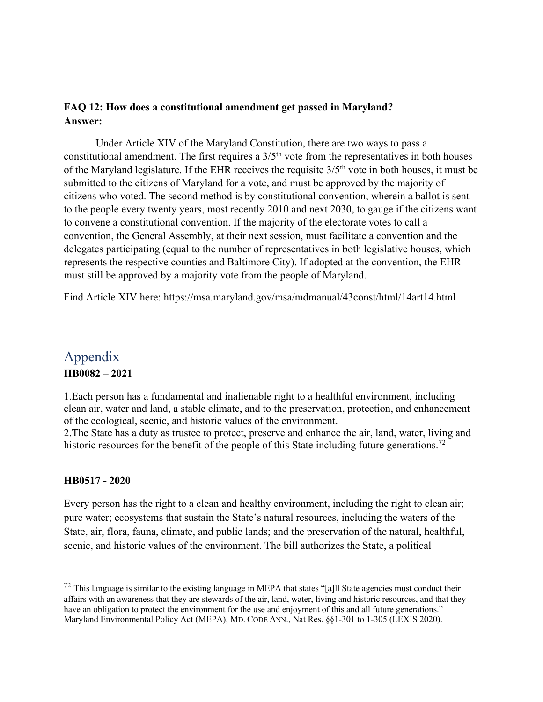#### **FAQ 12: How does a constitutional amendment get passed in Maryland? Answer:**

Under Article XIV of the Maryland Constitution, there are two ways to pass a constitutional amendment. The first requires a  $3/5<sup>th</sup>$  vote from the representatives in both houses of the Maryland legislature. If the EHR receives the requisite  $3/5<sup>th</sup>$  vote in both houses, it must be submitted to the citizens of Maryland for a vote, and must be approved by the majority of citizens who voted. The second method is by constitutional convention, wherein a ballot is sent to the people every twenty years, most recently 2010 and next 2030, to gauge if the citizens want to convene a constitutional convention. If the majority of the electorate votes to call a convention, the General Assembly, at their next session, must facilitate a convention and the delegates participating (equal to the number of representatives in both legislative houses, which represents the respective counties and Baltimore City). If adopted at the convention, the EHR must still be approved by a majority vote from the people of Maryland.

Find Article XIV here: https://msa.maryland.gov/msa/mdmanual/43const/html/14art14.html

## Appendix **HB0082 – 2021**

1.Each person has a fundamental and inalienable right to a healthful environment, including clean air, water and land, a stable climate, and to the preservation, protection, and enhancement of the ecological, scenic, and historic values of the environment.

2.The State has a duty as trustee to protect, preserve and enhance the air, land, water, living and historic resources for the benefit of the people of this State including future generations.<sup>72</sup>

#### **HB0517 - 2020**

Every person has the right to a clean and healthy environment, including the right to clean air; pure water; ecosystems that sustain the State's natural resources, including the waters of the State, air, flora, fauna, climate, and public lands; and the preservation of the natural, healthful, scenic, and historic values of the environment. The bill authorizes the State, a political

 $^{72}$  This language is similar to the existing language in MEPA that states "[a]ll State agencies must conduct their affairs with an awareness that they are stewards of the air, land, water, living and historic resources, and that they have an obligation to protect the environment for the use and enjoyment of this and all future generations." Maryland Environmental Policy Act (MEPA), MD. CODE ANN., Nat Res. §§1-301 to 1-305 (LEXIS 2020).